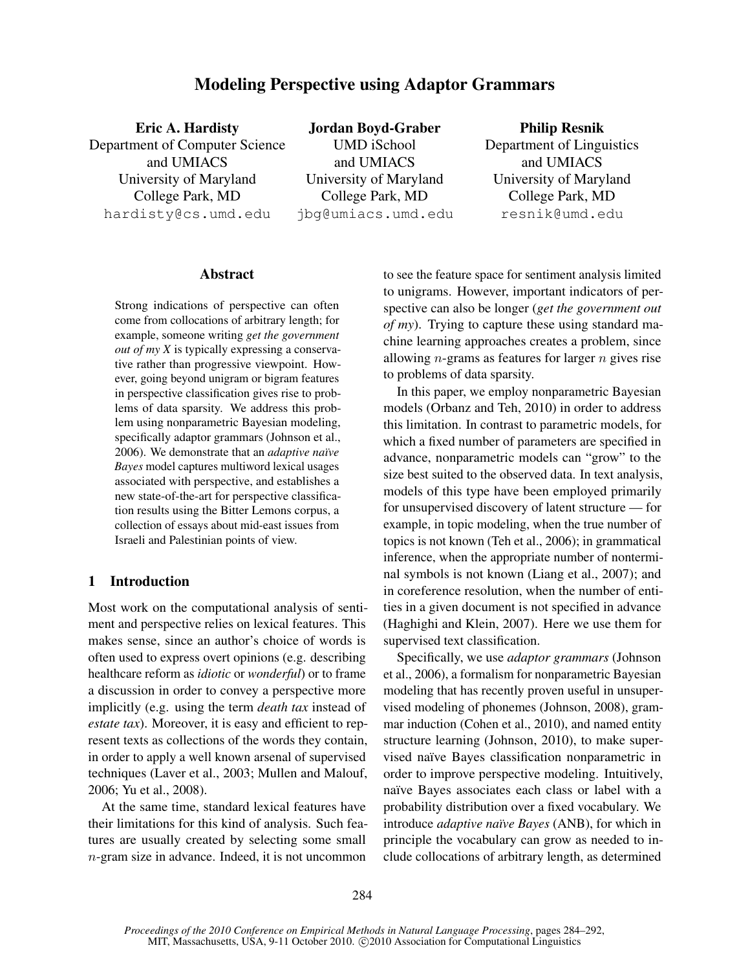# Modeling Perspective using Adaptor Grammars

| <b>Jordan Boyd-Graber</b> | <b>Philip Resnik</b>      |
|---------------------------|---------------------------|
| <b>UMD</b> iSchool        | Department of Linguistics |
| and UMIACS                | and UMIACS                |
| University of Maryland    | University of Maryland    |
| College Park, MD          | College Park, MD          |
| jbg@umiacs.umd.edu        | resnik@umd.edu            |
|                           |                           |

#### Abstract

Strong indications of perspective can often come from collocations of arbitrary length; for example, someone writing *get the government out of my X* is typically expressing a conservative rather than progressive viewpoint. However, going beyond unigram or bigram features in perspective classification gives rise to problems of data sparsity. We address this problem using nonparametric Bayesian modeling, specifically adaptor grammars (Johnson et al., 2006). We demonstrate that an *adaptive naïve Bayes* model captures multiword lexical usages associated with perspective, and establishes a new state-of-the-art for perspective classification results using the Bitter Lemons corpus, a collection of essays about mid-east issues from Israeli and Palestinian points of view.

## 1 Introduction

Most work on the computational analysis of sentiment and perspective relies on lexical features. This makes sense, since an author's choice of words is often used to express overt opinions (e.g. describing healthcare reform as *idiotic* or *wonderful*) or to frame a discussion in order to convey a perspective more implicitly (e.g. using the term *death tax* instead of *estate tax*). Moreover, it is easy and efficient to represent texts as collections of the words they contain, in order to apply a well known arsenal of supervised techniques (Laver et al., 2003; Mullen and Malouf, 2006; Yu et al., 2008).

At the same time, standard lexical features have their limitations for this kind of analysis. Such features are usually created by selecting some small n-gram size in advance. Indeed, it is not uncommon to see the feature space for sentiment analysis limited to unigrams. However, important indicators of perspective can also be longer (*get the government out of my*). Trying to capture these using standard machine learning approaches creates a problem, since allowing *n*-grams as features for larger  $n$  gives rise to problems of data sparsity.

In this paper, we employ nonparametric Bayesian models (Orbanz and Teh, 2010) in order to address this limitation. In contrast to parametric models, for which a fixed number of parameters are specified in advance, nonparametric models can "grow" to the size best suited to the observed data. In text analysis, models of this type have been employed primarily for unsupervised discovery of latent structure — for example, in topic modeling, when the true number of topics is not known (Teh et al., 2006); in grammatical inference, when the appropriate number of nonterminal symbols is not known (Liang et al., 2007); and in coreference resolution, when the number of entities in a given document is not specified in advance (Haghighi and Klein, 2007). Here we use them for supervised text classification.

Specifically, we use *adaptor grammars* (Johnson et al., 2006), a formalism for nonparametric Bayesian modeling that has recently proven useful in unsupervised modeling of phonemes (Johnson, 2008), grammar induction (Cohen et al., 2010), and named entity structure learning (Johnson, 2010), to make supervised naïve Bayes classification nonparametric in order to improve perspective modeling. Intuitively, naïve Bayes associates each class or label with a probability distribution over a fixed vocabulary. We introduce *adaptive na¨ıve Bayes* (ANB), for which in principle the vocabulary can grow as needed to include collocations of arbitrary length, as determined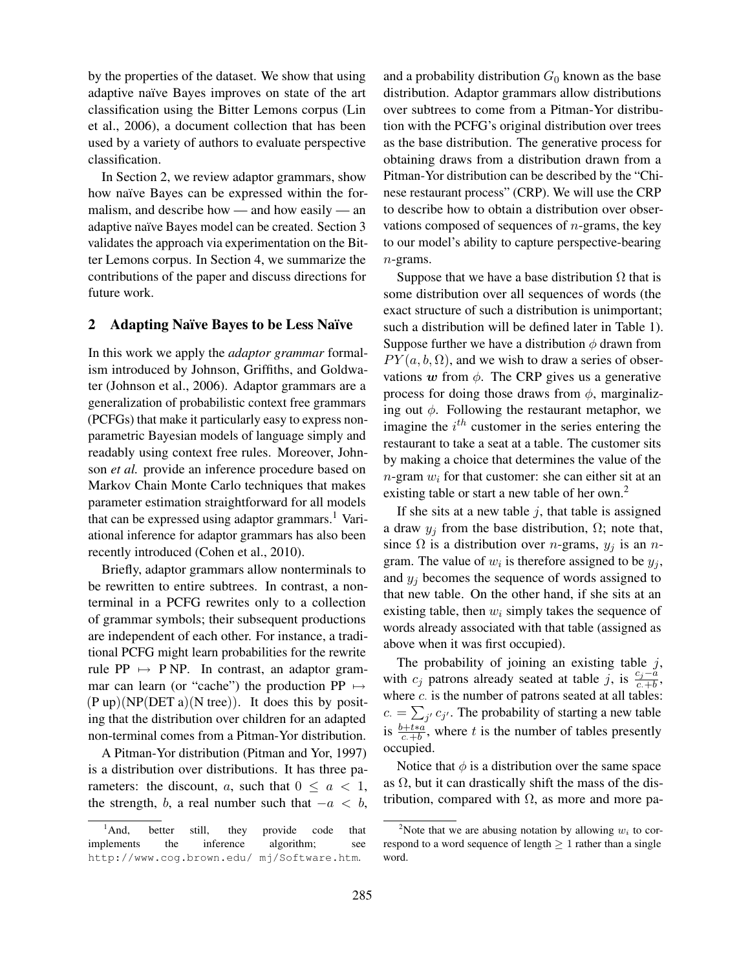by the properties of the dataset. We show that using adaptive naïve Bayes improves on state of the art classification using the Bitter Lemons corpus (Lin et al., 2006), a document collection that has been used by a variety of authors to evaluate perspective classification.

In Section 2, we review adaptor grammars, show how naïve Bayes can be expressed within the formalism, and describe how — and how easily — an adaptive naïve Bayes model can be created. Section 3 validates the approach via experimentation on the Bitter Lemons corpus. In Section 4, we summarize the contributions of the paper and discuss directions for future work.

#### 2 Adapting Naïve Bayes to be Less Naïve

In this work we apply the *adaptor grammar* formalism introduced by Johnson, Griffiths, and Goldwater (Johnson et al., 2006). Adaptor grammars are a generalization of probabilistic context free grammars (PCFGs) that make it particularly easy to express nonparametric Bayesian models of language simply and readably using context free rules. Moreover, Johnson *et al.* provide an inference procedure based on Markov Chain Monte Carlo techniques that makes parameter estimation straightforward for all models that can be expressed using adaptor grammars.<sup>1</sup> Variational inference for adaptor grammars has also been recently introduced (Cohen et al., 2010).

Briefly, adaptor grammars allow nonterminals to be rewritten to entire subtrees. In contrast, a nonterminal in a PCFG rewrites only to a collection of grammar symbols; their subsequent productions are independent of each other. For instance, a traditional PCFG might learn probabilities for the rewrite rule PP  $\mapsto$  P NP. In contrast, an adaptor grammar can learn (or "cache") the production PP  $\mapsto$  $(P \text{ up}) (NP(DET a) (N \text{ tree}))$ . It does this by positing that the distribution over children for an adapted non-terminal comes from a Pitman-Yor distribution.

A Pitman-Yor distribution (Pitman and Yor, 1997) is a distribution over distributions. It has three parameters: the discount, a, such that  $0 \le a < 1$ , the strength, b, a real number such that  $-a < b$ , and a probability distribution  $G_0$  known as the base distribution. Adaptor grammars allow distributions over subtrees to come from a Pitman-Yor distribution with the PCFG's original distribution over trees as the base distribution. The generative process for obtaining draws from a distribution drawn from a Pitman-Yor distribution can be described by the "Chinese restaurant process" (CRP). We will use the CRP to describe how to obtain a distribution over observations composed of sequences of  $n$ -grams, the key to our model's ability to capture perspective-bearing n-grams.

Suppose that we have a base distribution  $\Omega$  that is some distribution over all sequences of words (the exact structure of such a distribution is unimportant; such a distribution will be defined later in Table 1). Suppose further we have a distribution  $\phi$  drawn from  $PY(a, b, \Omega)$ , and we wish to draw a series of observations w from  $\phi$ . The CRP gives us a generative process for doing those draws from  $\phi$ , marginalizing out  $\phi$ . Following the restaurant metaphor, we imagine the  $i^{th}$  customer in the series entering the restaurant to take a seat at a table. The customer sits by making a choice that determines the value of the  $n$ -gram  $w_i$  for that customer: she can either sit at an existing table or start a new table of her own.<sup>2</sup>

If she sits at a new table  $j$ , that table is assigned a draw  $y_i$  from the base distribution,  $\Omega$ ; note that, since  $\Omega$  is a distribution over *n*-grams,  $y_j$  is an *n*gram. The value of  $w_i$  is therefore assigned to be  $y_j$ , and  $y_i$  becomes the sequence of words assigned to that new table. On the other hand, if she sits at an existing table, then  $w_i$  simply takes the sequence of words already associated with that table (assigned as above when it was first occupied).

The probability of joining an existing table  $j$ , with  $c_j$  patrons already seated at table j, is  $\frac{c_j - a}{c + b}$ , where  $c$ . is the number of patrons seated at all tables:  $c = \sum_{j'} c_{j'}$ . The probability of starting a new table is  $\frac{b+t*a}{c+b}$ , where t is the number of tables presently occupied.

Notice that  $\phi$  is a distribution over the same space as  $\Omega$ , but it can drastically shift the mass of the distribution, compared with  $\Omega$ , as more and more pa-

<sup>&</sup>lt;sup>1</sup>And, better still, they provide code that implements the inference algorithm; see http://www.cog.brown.edu/ mj/Software.htm.

<sup>&</sup>lt;sup>2</sup>Note that we are abusing notation by allowing  $w_i$  to correspond to a word sequence of length  $\geq 1$  rather than a single word.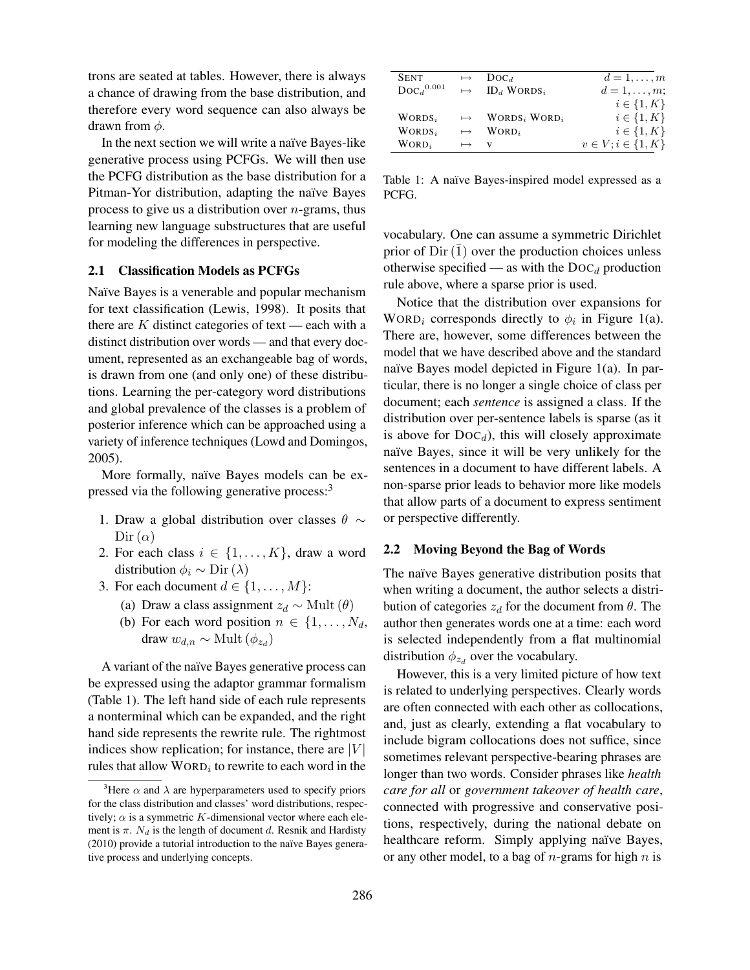trons are seated at tables. However, there is always a chance of drawing from the base distribution, and therefore every word sequence can also always be drawn from  $\phi$ .

In the next section we will write a naïve Bayes-like generative process using PCFGs. We will then use the PCFG distribution as the base distribution for a Pitman-Yor distribution, adapting the naïve Bayes process to give us a distribution over  $n$ -grams, thus learning new language substructures that are useful for modeling the differences in perspective.

## 2.1 Classification Models as PCFGs

Naïve Bayes is a venerable and popular mechanism for text classification (Lewis, 1998). It posits that there are  $K$  distinct categories of text — each with a distinct distribution over words — and that every document, represented as an exchangeable bag of words, is drawn from one (and only one) of these distributions. Learning the per-category word distributions and global prevalence of the classes is a problem of posterior inference which can be approached using a variety of inference techniques (Lowd and Domingos, 2005).

More formally, naïve Bayes models can be expressed via the following generative process:<sup>3</sup>

- 1. Draw a global distribution over classes  $\theta \sim$ Dir  $(\alpha)$
- 2. For each class  $i \in \{1, \ldots, K\}$ , draw a word distribution  $\phi_i \sim \text{Dir}(\lambda)$
- 3. For each document  $d \in \{1, \ldots, M\}$ :
	- (a) Draw a class assignment  $z_d \sim \text{Mult}(\theta)$
	- (b) For each word position  $n \in \{1, \ldots, N_d, \ldots\}$ draw  $w_{d,n} \sim \text{Mult}(\phi_{z_d})$

A variant of the naïve Bayes generative process can be expressed using the adaptor grammar formalism (Table 1). The left hand side of each rule represents a nonterminal which can be expanded, and the right hand side represents the rewrite rule. The rightmost indices show replication; for instance, there are  $|V|$ rules that allow  $WORD_i$  to rewrite to each word in the

| <b>SENT</b>              | $\longmapsto$ | $\text{Doc}_d$                                 | $d=1,\ldots,m$            |
|--------------------------|---------------|------------------------------------------------|---------------------------|
| $\text{Doc}_d{}^{0.001}$ |               | $\mapsto$ ID <sub>d</sub> WORDS <sub>i</sub>   | $d=1,\ldots,m;$           |
|                          |               |                                                | $i \in \{1, K\}$          |
| $WORDS_i$                |               | $\mapsto$ WORDS <sub>i</sub> WORD <sub>i</sub> | $i \in \{1, K\}$          |
| $WORDS_i$                |               | $\mapsto$ WORD <sub>i</sub>                    | $i \in \{1, K\}$          |
| $WORD_i$                 | $\mapsto$ V   |                                                | $v \in V; i \in \{1, K\}$ |

Table 1: A naïve Bayes-inspired model expressed as a PCFG.

vocabulary. One can assume a symmetric Dirichlet prior of Dir  $(\overline{1})$  over the production choices unless otherwise specified — as with the  $\text{Doc}_d$  production rule above, where a sparse prior is used.

Notice that the distribution over expansions for WORD<sub>i</sub> corresponds directly to  $\phi_i$  in Figure 1(a). There are, however, some differences between the model that we have described above and the standard naïve Bayes model depicted in Figure  $1(a)$ . In particular, there is no longer a single choice of class per document; each *sentence* is assigned a class. If the distribution over per-sentence labels is sparse (as it is above for  $Doc<sub>d</sub>$ ), this will closely approximate naïve Bayes, since it will be very unlikely for the sentences in a document to have different labels. A non-sparse prior leads to behavior more like models that allow parts of a document to express sentiment or perspective differently.

#### 2.2 Moving Beyond the Bag of Words

The naïve Bayes generative distribution posits that when writing a document, the author selects a distribution of categories  $z_d$  for the document from  $\theta$ . The author then generates words one at a time: each word is selected independently from a flat multinomial distribution  $\phi_{z_d}$  over the vocabulary.

However, this is a very limited picture of how text is related to underlying perspectives. Clearly words are often connected with each other as collocations, and, just as clearly, extending a flat vocabulary to include bigram collocations does not suffice, since sometimes relevant perspective-bearing phrases are longer than two words. Consider phrases like *health care for all* or *government takeover of health care*, connected with progressive and conservative positions, respectively, during the national debate on healthcare reform. Simply applying naïve Bayes, or any other model, to a bag of *n*-grams for high *n* is

<sup>&</sup>lt;sup>3</sup>Here  $\alpha$  and  $\lambda$  are hyperparameters used to specify priors for the class distribution and classes' word distributions, respectively;  $\alpha$  is a symmetric K-dimensional vector where each element is  $\pi$ . N<sub>d</sub> is the length of document d. Resnik and Hardisty  $(2010)$  provide a tutorial introduction to the naïve Bayes generative process and underlying concepts.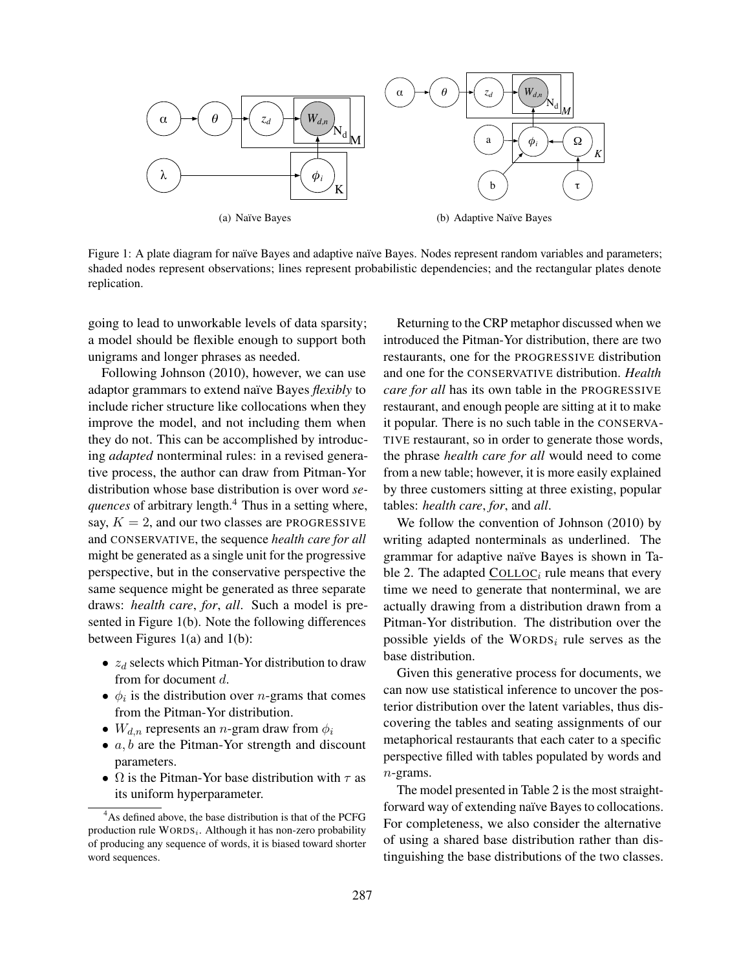

(a) Naïve Bayes

(b) Adaptive Naïve Bayes

Figure 1: A plate diagram for naïve Bayes and adaptive naïve Bayes. Nodes represent random variables and parameters; shaded nodes represent observations; lines represent probabilistic dependencies; and the rectangular plates denote replication.

going to lead to unworkable levels of data sparsity; a model should be flexible enough to support both unigrams and longer phrases as needed.

Following Johnson (2010), however, we can use adaptor grammars to extend naïve Bayes *flexibly* to include richer structure like collocations when they improve the model, and not including them when they do not. This can be accomplished by introducing *adapted* nonterminal rules: in a revised generative process, the author can draw from Pitman-Yor distribution whose base distribution is over word *sequences* of arbitrary length.<sup>4</sup> Thus in a setting where, say,  $K = 2$ , and our two classes are PROGRESSIVE and CONSERVATIVE, the sequence *health care for all* might be generated as a single unit for the progressive perspective, but in the conservative perspective the same sequence might be generated as three separate draws: *health care*, *for*, *all*. Such a model is presented in Figure 1(b). Note the following differences between Figures 1(a) and 1(b):

- $z_d$  selects which Pitman-Yor distribution to draw from for document d.
- $\phi_i$  is the distribution over *n*-grams that comes from the Pitman-Yor distribution.
- $W_{d,n}$  represents an *n*-gram draw from  $\phi_i$
- $a, b$  are the Pitman-Yor strength and discount parameters.
- $\Omega$  is the Pitman-Yor base distribution with  $\tau$  as its uniform hyperparameter.

Returning to the CRP metaphor discussed when we introduced the Pitman-Yor distribution, there are two restaurants, one for the PROGRESSIVE distribution and one for the CONSERVATIVE distribution. *Health care for all* has its own table in the PROGRESSIVE restaurant, and enough people are sitting at it to make it popular. There is no such table in the CONSERVA-TIVE restaurant, so in order to generate those words, the phrase *health care for all* would need to come from a new table; however, it is more easily explained by three customers sitting at three existing, popular tables: *health care*, *for*, and *all*.

We follow the convention of Johnson (2010) by writing adapted nonterminals as underlined. The grammar for adaptive naïve Bayes is shown in Table 2. The adapted  $COLLOC_i$  rule means that every time we need to generate that nonterminal, we are actually drawing from a distribution drawn from a Pitman-Yor distribution. The distribution over the possible yields of the  $WORDS<sub>i</sub>$  rule serves as the base distribution.

Given this generative process for documents, we can now use statistical inference to uncover the posterior distribution over the latent variables, thus discovering the tables and seating assignments of our metaphorical restaurants that each cater to a specific perspective filled with tables populated by words and n-grams.

The model presented in Table 2 is the most straightforward way of extending naïve Bayes to collocations. For completeness, we also consider the alternative of using a shared base distribution rather than distinguishing the base distributions of the two classes.

<sup>&</sup>lt;sup>4</sup>As defined above, the base distribution is that of the PCFG production rule  $WORDS_i$ . Although it has non-zero probability of producing any sequence of words, it is biased toward shorter word sequences.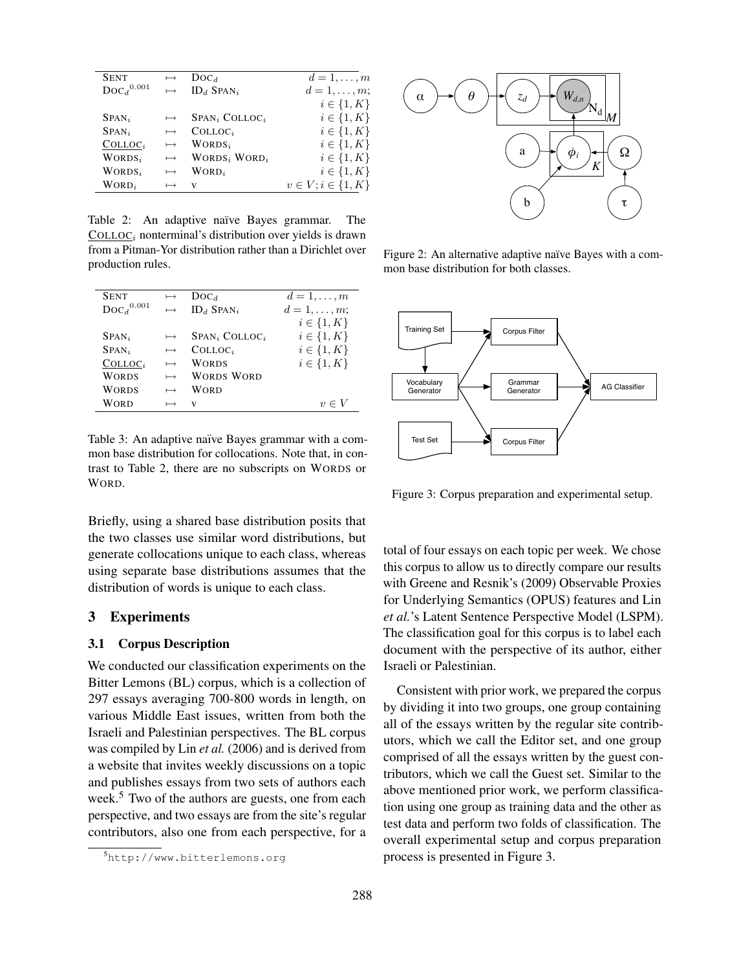| <b>SENT</b>              | $\mapsto$ | $\text{Doc}_d$                        | $d=1,\ldots,m$            |
|--------------------------|-----------|---------------------------------------|---------------------------|
| $\text{Doc}_d{}^{0.001}$ | $\mapsto$ | $ID_d$ SPAN <sub>i</sub>              | $d=1,\ldots,m;$           |
|                          |           |                                       | $i \in \{1, K\}$          |
| $SPAN_i$                 | $\mapsto$ | SPAN <sub>i</sub> COLLOC <sub>i</sub> | $i \in \{1, K\}$          |
| $SPAN_i$                 | $\mapsto$ | $COLLOC_i$                            | $i \in \{1, K\}$          |
| $COLLOC_i$               | $\mapsto$ | $WORDS_i$                             | $i \in \{1, K\}$          |
| $WORDS_i$                | $\mapsto$ | WORDS <sub>i</sub> WORD <sub>i</sub>  | $i \in \{1, K\}$          |
| $WORDS_i$                | $\mapsto$ | $WORD_i$                              | $i \in \{1, K\}$          |
| $WORD_i$                 | $\mapsto$ | V                                     | $v \in V; i \in \{1, K\}$ |

Table 2: An adaptive naïve Bayes grammar. The  $COLLOC<sub>i</sub> nonterminal's distribution over yields is drawn$ from a Pitman-Yor distribution rather than a Dirichlet over production rules.

| <b>SENT</b>              | $\mapsto$ | $\text{Doc}_d$               | $d=1,\ldots,m$   |
|--------------------------|-----------|------------------------------|------------------|
| $\text{Doc}_d{}^{0.001}$ | $\mapsto$ | $ID_d$ Span <sub>i</sub>     | $d=1,\ldots,m;$  |
|                          |           |                              | $i \in \{1, K\}$ |
| $SPAN_i$                 | $\mapsto$ | $SPAN_i$ COLLOC <sub>i</sub> | $i \in \{1, K\}$ |
| $SPAN_i$                 | $\mapsto$ | $COLLOC_i$                   | $i \in \{1, K\}$ |
| $COLLOC_i$               | $\mapsto$ | WORDS                        | $i \in \{1, K\}$ |
| <b>WORDS</b>             | $\mapsto$ | WORDS WORD                   |                  |
| <b>WORDS</b>             | $\mapsto$ | WORD                         |                  |
| <b>WORD</b>              | $\mapsto$ | V                            | $v \in V$        |
|                          |           |                              |                  |

Table 3: An adaptive naïve Bayes grammar with a common base distribution for collocations. Note that, in contrast to Table 2, there are no subscripts on WORDS or WORD.

Briefly, using a shared base distribution posits that the two classes use similar word distributions, but generate collocations unique to each class, whereas using separate base distributions assumes that the distribution of words is unique to each class.

## 3 Experiments

## 3.1 Corpus Description

We conducted our classification experiments on the Bitter Lemons (BL) corpus, which is a collection of 297 essays averaging 700-800 words in length, on various Middle East issues, written from both the Israeli and Palestinian perspectives. The BL corpus was compiled by Lin *et al.* (2006) and is derived from a website that invites weekly discussions on a topic and publishes essays from two sets of authors each week.<sup>5</sup> Two of the authors are guests, one from each perspective, and two essays are from the site's regular contributors, also one from each perspective, for a



Figure 2: An alternative adaptive naïve Bayes with a common base distribution for both classes.



Figure 3: Corpus preparation and experimental setup.

total of four essays on each topic per week. We chose this corpus to allow us to directly compare our results with Greene and Resnik's (2009) Observable Proxies for Underlying Semantics (OPUS) features and Lin *et al.*'s Latent Sentence Perspective Model (LSPM). The classification goal for this corpus is to label each document with the perspective of its author, either Israeli or Palestinian.

Consistent with prior work, we prepared the corpus by dividing it into two groups, one group containing all of the essays written by the regular site contributors, which we call the Editor set, and one group comprised of all the essays written by the guest contributors, which we call the Guest set. Similar to the above mentioned prior work, we perform classification using one group as training data and the other as test data and perform two folds of classification. The overall experimental setup and corpus preparation process is presented in Figure 3.

<sup>5</sup>http://www.bitterlemons.org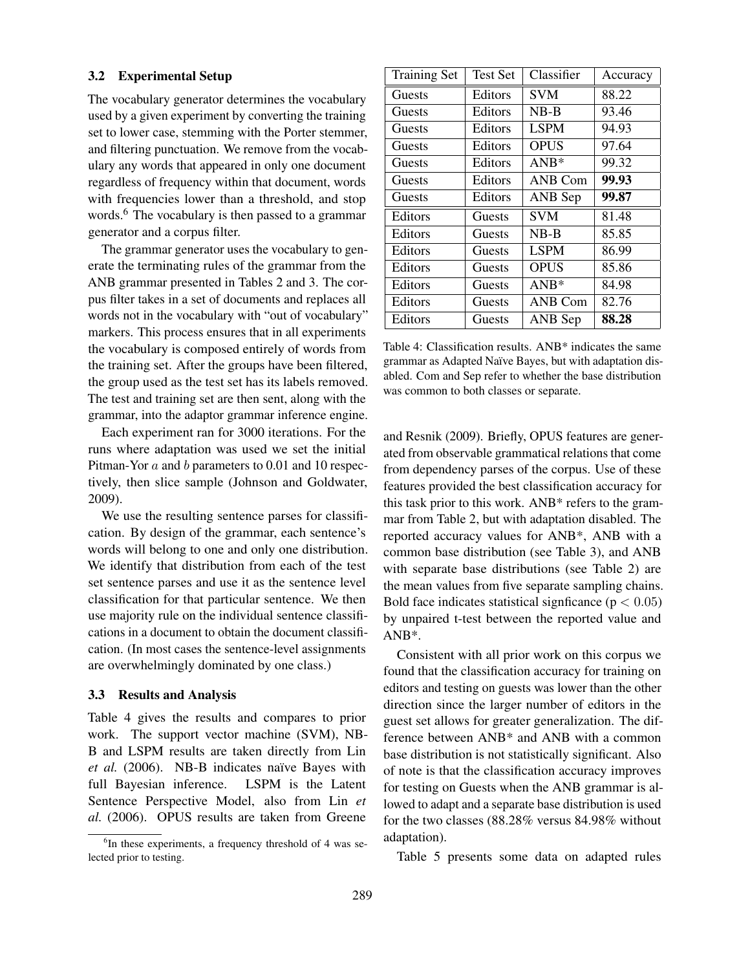#### 3.2 Experimental Setup

The vocabulary generator determines the vocabulary used by a given experiment by converting the training set to lower case, stemming with the Porter stemmer, and filtering punctuation. We remove from the vocabulary any words that appeared in only one document regardless of frequency within that document, words with frequencies lower than a threshold, and stop words.<sup>6</sup> The vocabulary is then passed to a grammar generator and a corpus filter.

The grammar generator uses the vocabulary to generate the terminating rules of the grammar from the ANB grammar presented in Tables 2 and 3. The corpus filter takes in a set of documents and replaces all words not in the vocabulary with "out of vocabulary" markers. This process ensures that in all experiments the vocabulary is composed entirely of words from the training set. After the groups have been filtered, the group used as the test set has its labels removed. The test and training set are then sent, along with the grammar, into the adaptor grammar inference engine.

Each experiment ran for 3000 iterations. For the runs where adaptation was used we set the initial Pitman-Yor a and b parameters to 0.01 and 10 respectively, then slice sample (Johnson and Goldwater, 2009).

We use the resulting sentence parses for classification. By design of the grammar, each sentence's words will belong to one and only one distribution. We identify that distribution from each of the test set sentence parses and use it as the sentence level classification for that particular sentence. We then use majority rule on the individual sentence classifications in a document to obtain the document classification. (In most cases the sentence-level assignments are overwhelmingly dominated by one class.)

#### 3.3 Results and Analysis

Table 4 gives the results and compares to prior work. The support vector machine (SVM), NB-B and LSPM results are taken directly from Lin et al. (2006). NB-B indicates naïve Bayes with full Bayesian inference. LSPM is the Latent Sentence Perspective Model, also from Lin *et al.* (2006). OPUS results are taken from Greene

| Training Set | <b>Test Set</b> | Classifier  | Accuracy |
|--------------|-----------------|-------------|----------|
| Guests       | Editors         | <b>SVM</b>  | 88.22    |
| Guests       | Editors         | $NB-B$      | 93.46    |
| Guests       | Editors         | <b>LSPM</b> | 94.93    |
| Guests       | Editors         | <b>OPUS</b> | 97.64    |
| Guests       | Editors         | $ANB*$      | 99.32    |
| Guests       | Editors         | ANB Com     | 99.93    |
| Guests       | Editors         | ANB Sep     | 99.87    |
| Editors      | Guests          | <b>SVM</b>  | 81.48    |
| Editors      | Guests          | $NB-B$      | 85.85    |
| Editors      | Guests          | <b>LSPM</b> | 86.99    |
| Editors      | Guests          | <b>OPUS</b> | 85.86    |
| Editors      | Guests          | $ANB*$      | 84.98    |
| Editors      | Guests          | ANB Com     | 82.76    |
| Editors      | Guests          | ANB Sep     | 88.28    |

Table 4: Classification results. ANB\* indicates the same grammar as Adapted Naïve Bayes, but with adaptation disabled. Com and Sep refer to whether the base distribution was common to both classes or separate.

and Resnik (2009). Briefly, OPUS features are generated from observable grammatical relations that come from dependency parses of the corpus. Use of these features provided the best classification accuracy for this task prior to this work. ANB\* refers to the grammar from Table 2, but with adaptation disabled. The reported accuracy values for ANB\*, ANB with a common base distribution (see Table 3), and ANB with separate base distributions (see Table 2) are the mean values from five separate sampling chains. Bold face indicates statistical signficance ( $p < 0.05$ ) by unpaired t-test between the reported value and ANB\*.

Consistent with all prior work on this corpus we found that the classification accuracy for training on editors and testing on guests was lower than the other direction since the larger number of editors in the guest set allows for greater generalization. The difference between ANB\* and ANB with a common base distribution is not statistically significant. Also of note is that the classification accuracy improves for testing on Guests when the ANB grammar is allowed to adapt and a separate base distribution is used for the two classes (88.28% versus 84.98% without adaptation).

Table 5 presents some data on adapted rules

<sup>&</sup>lt;sup>6</sup>In these experiments, a frequency threshold of 4 was selected prior to testing.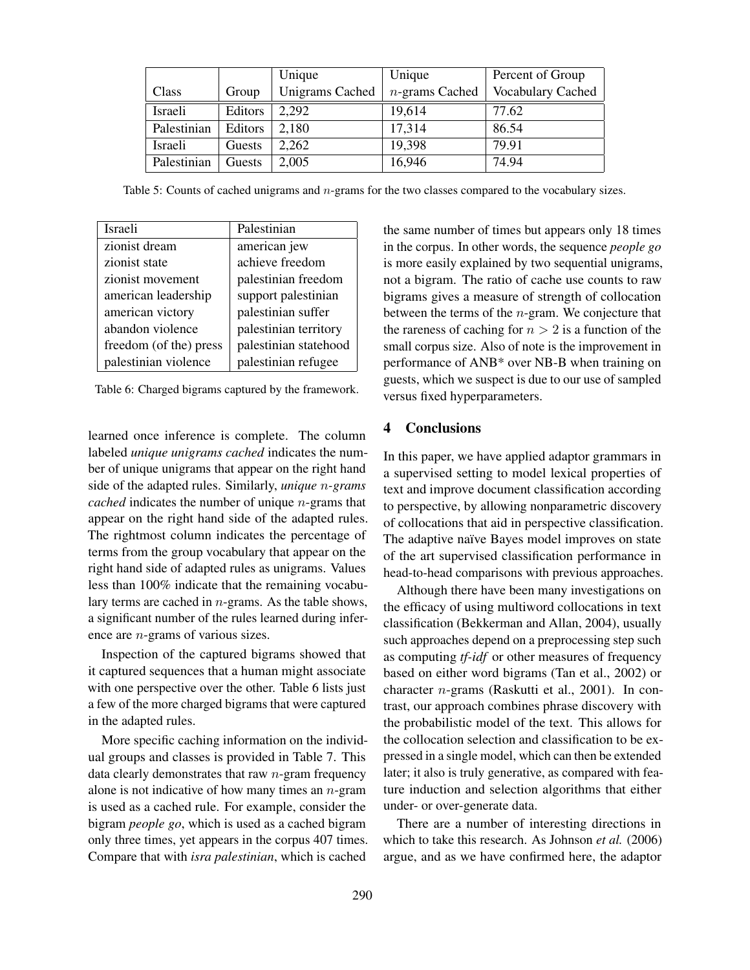|             |         | Unique                 | Unique            | Percent of Group  |
|-------------|---------|------------------------|-------------------|-------------------|
| Class       | Group   | <b>Unigrams Cached</b> | $n$ -grams Cached | Vocabulary Cached |
| Israeli     | Editors | 2,292                  | 19,614            | 77.62             |
| Palestinian | Editors | 2,180                  | 17,314            | 86.54             |
| Israeli     | Guests  | 2,262                  | 19,398            | 79.91             |
| Palestinian | Guests  | 2,005                  | 16,946            | 74.94             |

Table 5: Counts of cached unigrams and *n*-grams for the two classes compared to the vocabulary sizes.

| Israeli                | Palestinian           |
|------------------------|-----------------------|
| zionist dream          | american jew          |
| zionist state          | achieve freedom       |
| zionist movement       | palestinian freedom   |
| american leadership    | support palestinian   |
| american victory       | palestinian suffer    |
| abandon violence       | palestinian territory |
| freedom (of the) press | palestinian statehood |
| palestinian violence   | palestinian refugee   |

Table 6: Charged bigrams captured by the framework.

learned once inference is complete. The column labeled *unique unigrams cached* indicates the number of unique unigrams that appear on the right hand side of the adapted rules. Similarly, *unique* n*-grams cached* indicates the number of unique *n*-grams that appear on the right hand side of the adapted rules. The rightmost column indicates the percentage of terms from the group vocabulary that appear on the right hand side of adapted rules as unigrams. Values less than 100% indicate that the remaining vocabulary terms are cached in n-grams. As the table shows, a significant number of the rules learned during inference are n-grams of various sizes.

Inspection of the captured bigrams showed that it captured sequences that a human might associate with one perspective over the other. Table 6 lists just a few of the more charged bigrams that were captured in the adapted rules.

More specific caching information on the individual groups and classes is provided in Table 7. This data clearly demonstrates that raw  $n$ -gram frequency alone is not indicative of how many times an  $n$ -gram is used as a cached rule. For example, consider the bigram *people go*, which is used as a cached bigram only three times, yet appears in the corpus 407 times. Compare that with *isra palestinian*, which is cached

the same number of times but appears only 18 times in the corpus. In other words, the sequence *people go* is more easily explained by two sequential unigrams, not a bigram. The ratio of cache use counts to raw bigrams gives a measure of strength of collocation between the terms of the  $n$ -gram. We conjecture that the rareness of caching for  $n > 2$  is a function of the small corpus size. Also of note is the improvement in performance of ANB\* over NB-B when training on guests, which we suspect is due to our use of sampled versus fixed hyperparameters.

# 4 Conclusions

In this paper, we have applied adaptor grammars in a supervised setting to model lexical properties of text and improve document classification according to perspective, by allowing nonparametric discovery of collocations that aid in perspective classification. The adaptive naïve Bayes model improves on state of the art supervised classification performance in head-to-head comparisons with previous approaches.

Although there have been many investigations on the efficacy of using multiword collocations in text classification (Bekkerman and Allan, 2004), usually such approaches depend on a preprocessing step such as computing *tf-idf* or other measures of frequency based on either word bigrams (Tan et al., 2002) or character n-grams (Raskutti et al., 2001). In contrast, our approach combines phrase discovery with the probabilistic model of the text. This allows for the collocation selection and classification to be expressed in a single model, which can then be extended later; it also is truly generative, as compared with feature induction and selection algorithms that either under- or over-generate data.

There are a number of interesting directions in which to take this research. As Johnson *et al.* (2006) argue, and as we have confirmed here, the adaptor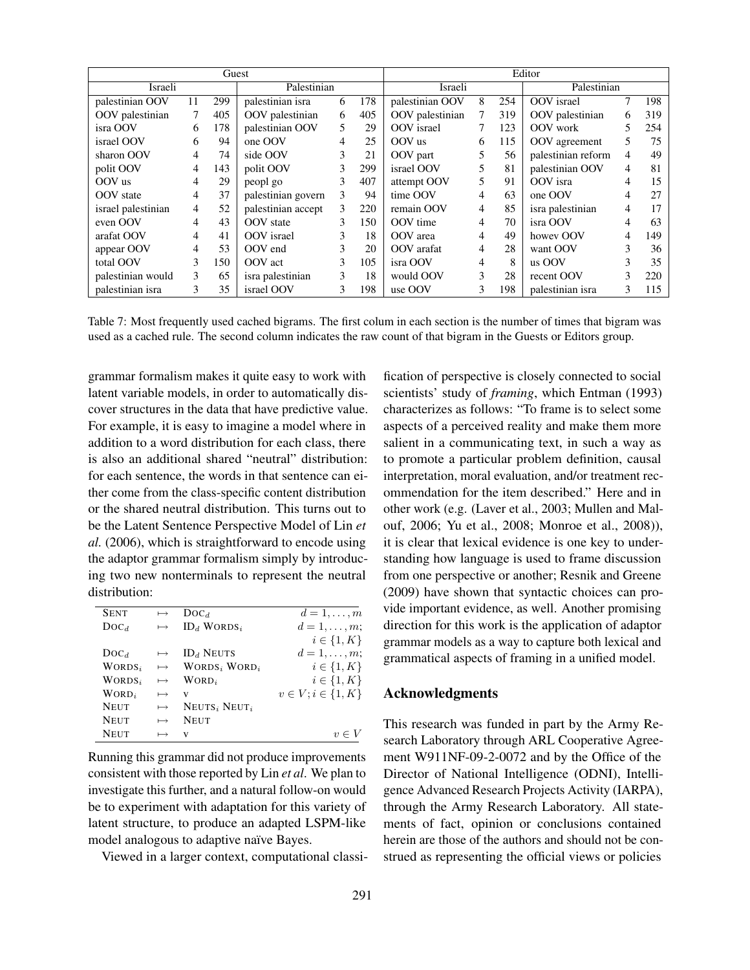| Guest              |    |     |                    |    | Editor |                 |                |     |                    |                |     |
|--------------------|----|-----|--------------------|----|--------|-----------------|----------------|-----|--------------------|----------------|-----|
| Israeli            |    |     | Palestinian        |    |        | Israeli         |                |     | Palestinian        |                |     |
| palestinian OOV    | 11 | 299 | palestinian isra   | 6  | 178    | palestinian OOV | 8              | 254 | OOV israel         |                | 198 |
| OOV palestinian    | 7  | 405 | OOV palestinian    | 6  | 405    | OOV palestinian | 7              | 319 | OOV palestinian    | 6              | 319 |
| isra OOV           | 6  | 178 | palestinian OOV    | 5. | 29     | OOV israel      |                | 123 | OOV work           | 5              | 254 |
| israel OOV         | 6  | 94  | one OOV            | 4  | 25     | OOV us          | 6              | 115 | OOV agreement      | 5              | 75  |
| sharon OOV         | 4  | 74  | side OOV           | 3  | 21     | OOV part        | 5              | 56  | palestinian reform | $\overline{4}$ | 49  |
| polit OOV          | 4  | 143 | polit OOV          | 3  | 299    | israel OOV      | 5              | 81  | palestinian OOV    | 4              | 81  |
| OOV us             | 4  | 29  | peopl go           | 3  | 407    | attempt OOV     | 5              | 91  | OOV isra           | 4              | 15  |
| OOV state          | 4  | 37  | palestinian govern | 3  | 94     | time OOV        | 4              | 63  | one OOV            | 4              | 27  |
| israel palestinian | 4  | 52  | palestinian accept | 3  | 220    | remain OOV      | $\overline{4}$ | 85  | isra palestinian   | 4              | 17  |
| even OOV           | 4  | 43  | OOV state          | 3  | 150    | OOV time        | 4              | 70  | isra OOV           | 4              | 63  |
| arafat OOV         | 4  | 41  | OOV israel         | 3  | 18     | OOV area        | 4              | 49  | howey OOV          | 4              | 149 |
| appear OOV         | 4  | 53  | OOV end            | 3  | 20     | OOV arafat      | 4              | 28  | want OOV           | 3              | 36  |
| total OOV          | 3  | 150 | OOV act            | 3  | 105    | isra OOV        | 4              | 8   | us OOV             | 3              | 35  |
| palestinian would  | 3  | 65  | isra palestinian   | 3  | 18     | would OOV       | 3              | 28  | recent OOV         | 3              | 220 |
| palestinian isra   | 3  | 35  | israel OOV         | 3  | 198    | use OOV         | 3              | 198 | palestinian isra   | 3              | 115 |

Table 7: Most frequently used cached bigrams. The first colum in each section is the number of times that bigram was used as a cached rule. The second column indicates the raw count of that bigram in the Guests or Editors group.

grammar formalism makes it quite easy to work with latent variable models, in order to automatically discover structures in the data that have predictive value. For example, it is easy to imagine a model where in addition to a word distribution for each class, there is also an additional shared "neutral" distribution: for each sentence, the words in that sentence can either come from the class-specific content distribution or the shared neutral distribution. This turns out to be the Latent Sentence Perspective Model of Lin *et al.* (2006), which is straightforward to encode using the adaptor grammar formalism simply by introducing two new nonterminals to represent the neutral distribution:

| <b>SENT</b>    | $\mapsto$     | $Doc_d$                              | $d=1,\ldots,m$            |
|----------------|---------------|--------------------------------------|---------------------------|
| $\text{Doc}_d$ | $\mapsto$     | $ID_d$ WORDS <sub>i</sub>            | $d=1,\ldots,m;$           |
|                |               |                                      | $i \in \{1, K\}$          |
| $\text{Doc}_d$ | $\mapsto$     | $ID_d$ Neuts                         | $d=1,\ldots,m;$           |
| $WORDS_i$      | $\mapsto$     | WORDS <sub>i</sub> WORD <sub>i</sub> | $i \in \{1, K\}$          |
| $WORDS_i$      | $\mapsto$     | WORD <sub>i</sub>                    | $i \in \{1, K\}$          |
| $WORD_i$       | $\mapsto$     | v                                    | $v \in V; i \in \{1, K\}$ |
| <b>NEUT</b>    | $\mapsto$     | $NEUTS_i$ Neut <sub>i</sub>          |                           |
| <b>NEUT</b>    | $\longmapsto$ | <b>NEUT</b>                          |                           |
| <b>NEUT</b>    | $\mapsto$     | V                                    |                           |

Running this grammar did not produce improvements consistent with those reported by Lin *et al*. We plan to investigate this further, and a natural follow-on would be to experiment with adaptation for this variety of latent structure, to produce an adapted LSPM-like model analogous to adaptive naïve Bayes.

Viewed in a larger context, computational classi-

fication of perspective is closely connected to social scientists' study of *framing*, which Entman (1993) characterizes as follows: "To frame is to select some aspects of a perceived reality and make them more salient in a communicating text, in such a way as to promote a particular problem definition, causal interpretation, moral evaluation, and/or treatment recommendation for the item described." Here and in other work (e.g. (Laver et al., 2003; Mullen and Malouf, 2006; Yu et al., 2008; Monroe et al., 2008)), it is clear that lexical evidence is one key to understanding how language is used to frame discussion from one perspective or another; Resnik and Greene (2009) have shown that syntactic choices can provide important evidence, as well. Another promising direction for this work is the application of adaptor grammar models as a way to capture both lexical and grammatical aspects of framing in a unified model.

# Acknowledgments

This research was funded in part by the Army Research Laboratory through ARL Cooperative Agreement W911NF-09-2-0072 and by the Office of the Director of National Intelligence (ODNI), Intelligence Advanced Research Projects Activity (IARPA), through the Army Research Laboratory. All statements of fact, opinion or conclusions contained herein are those of the authors and should not be construed as representing the official views or policies